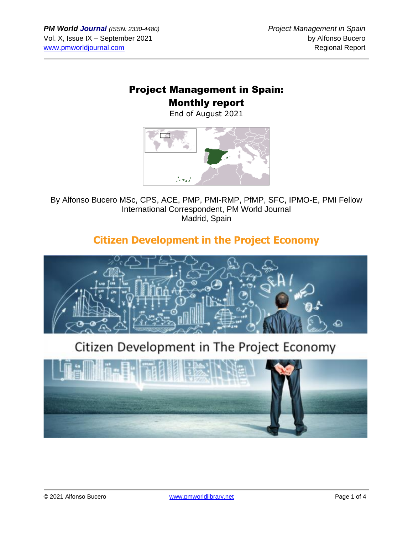### Project Management in Spain: Monthly report

End of August 2021



By Alfonso Bucero MSc, CPS, ACE, PMP, PMI-RMP, PfMP, SFC, IPMO-E, PMI Fellow International Correspondent, PM World Journal Madrid, Spain

## **Citizen Development in the Project Economy**



# Citizen Development in The Project Economy

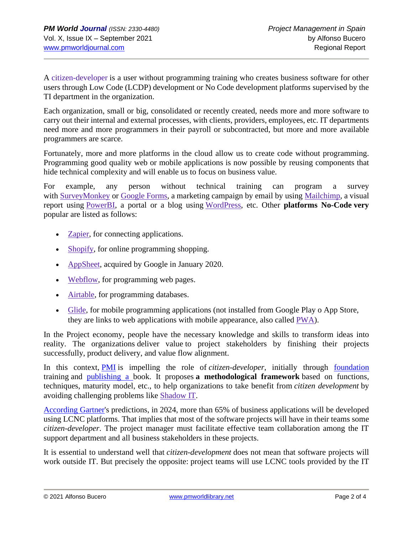A [citizen-developer](https://www.gartner.com/en/information-technology/glossary/citizen-developer) is a user without programming training who creates business software for other users through Low Code (LCDP) development or No Code development platforms supervised by the TI department in the organization.

Each organization, small or big, consolidated or recently created, needs more and more software to carry out their internal and external processes, with clients, providers, employees, etc. IT departments need more and more programmers in their payroll or subcontracted, but more and more available programmers are scarce.

Fortunately, more and more platforms in the cloud allow us to create code without programming. Programming good quality web or mobile applications is now possible by reusing components that hide technical complexity and will enable us to focus on business value.

For example, any person without technical training can program a survey with [SurveyMonkey](https://en.wikipedia.org/wiki/SurveyMonkey) or [Google Forms,](https://en.wikipedia.org/wiki/Google_Forms) a marketing campaign by email by using [Mailchimp,](https://en.wikipedia.org/wiki/Mailchimp) a visual report using [PowerBI,](https://en.wikipedia.org/wiki/Microsoft_Power_BI) a portal or a blog using [WordPress,](https://en.wikipedia.org/wiki/WordPress) etc. Other **platforms No-Code very** popular are listed as follows:

- **Zapier**, for connecting applications.
- [Shopify,](https://en.wikipedia.org/wiki/Shopify) for online programming shopping.
- [AppSheet,](https://en.wikipedia.org/wiki/AppSheet) acquired by Google in January 2020.
- [Webflow,](https://en.wikipedia.org/wiki/Webflow) for programming web pages.
- [Airtable,](https://en.wikipedia.org/wiki/Airtable) for programming databases.
- [Glide,](https://www.glideapps.com/) for mobile programming applications (not installed from Google Play o App Store, they are links to web applications with mobile appearance, also called [PWA\)](https://www.smashingmagazine.com/2016/08/a-beginners-guide-to-progressive-web-apps/#:~:text=By%20definition%2C%20a%20progressive%20web,be%20discoverable%20in%20search%20engines.).

In the Project economy, people have the necessary knowledge and skills to transform ideas into reality. The organizations deliver value to project stakeholders by finishing their projects successfully, product delivery, and value flow alignment.

In this context, **[PMI](https://www.pmi.org/)** is impelling the role of *citizen-developer*, initially through foundation training and [publishing](https://www.amazon.es/dp/B08V6T4HL7/ref=cm_sw_r_tw_dp_PE7G9X25VWTH3BK547VN) a book. It proposes **a methodological framework** based on functions, techniques, maturity model, etc., to help organizations to take benefit from *citizen development* by avoiding challenging problems like [Shadow IT.](https://en.wikipedia.org/wiki/Shadow_IT)

[According](https://link.medium.com/jMcNlLW89db) Gartner's predictions, in 2024, more than 65% of business applications will be developed using LCNC platforms. That implies that most of the software projects will have in their teams some *citizen-developer*. The project manager must facilitate effective team collaboration among the IT support department and all business stakeholders in these projects.

It is essential to understand well that *citizen-development* does not mean that software projects will work outside IT. But precisely the opposite: project teams will use LCNC tools provided by the IT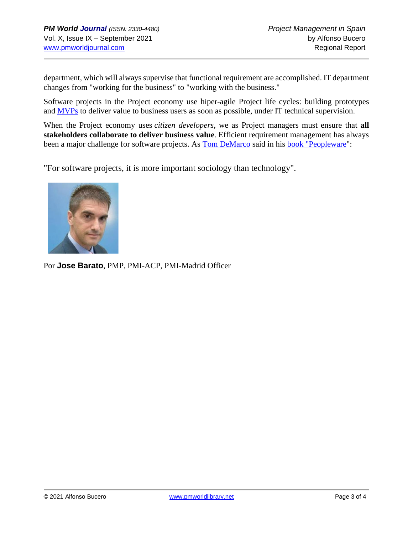department, which will always supervise that functional requirement are accomplished. IT department changes from "working for the business" to "working with the business."

Software projects in the Project economy use hiper-agile Project life cycles: building prototypes and [MVPs](https://en.wikipedia.org/wiki/Minimum_viable_product) to deliver value to business users as soon as possible, under IT technical supervision.

When the Project economy uses *citizen developers*, we as Project managers must ensure that **all stakeholders collaborate to deliver business value**. Efficient requirement management has always been a major challenge for software projects. As **[Tom DeMarco](https://en.wikipedia.org/wiki/Tom_DeMarco)** said in his **book** "Peopleware":

"For software projects, it is more important sociology than technology".



Por **Jose Barato**, PMP, PMI-ACP, PMI-Madrid Officer